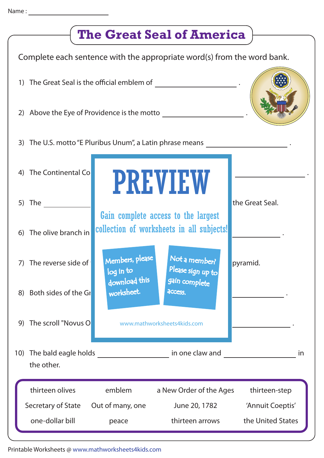